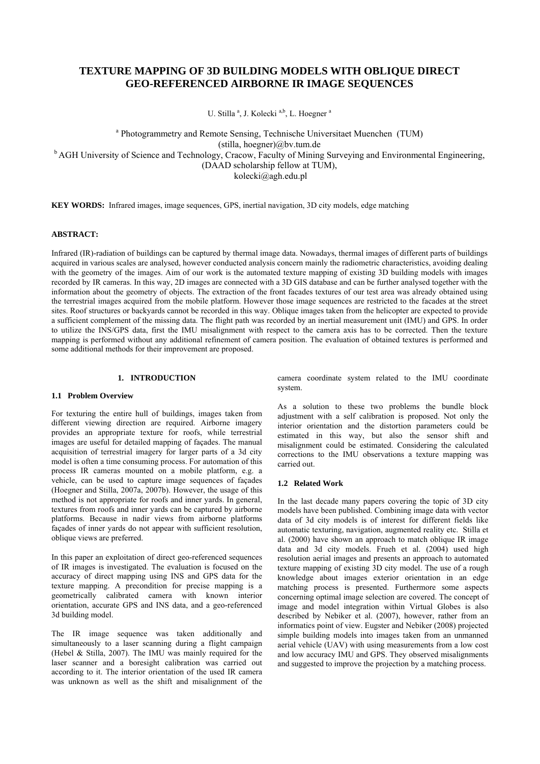# **TEXTURE MAPPING OF 3D BUILDING MODELS WITH OBLIQUE DIRECT GEO-REFERENCED AIRBORNE IR IMAGE SEQUENCES**

U. Stilla<sup>a</sup>, J. Kolecki<sup>a,b</sup>, L. Hoegner<sup>a</sup>

<sup>a</sup> Photogrammetry and Remote Sensing, Technische Universitaet Muenchen (TUM) (stilla, hoegner)@bv.tum.de <sup>b</sup> AGH University of Science and Technology, Cracow, Faculty of Mining Surveying and Environmental Engineering, (DAAD scholarship fellow at TUM), kolecki@agh.edu.pl

**KEY WORDS:** Infrared images, image sequences, GPS, inertial navigation, 3D city models, edge matching

# **ABSTRACT:**

Infrared (IR)-radiation of buildings can be captured by thermal image data. Nowadays, thermal images of different parts of buildings acquired in various scales are analysed, however conducted analysis concern mainly the radiometric characteristics, avoiding dealing with the geometry of the images. Aim of our work is the automated texture mapping of existing 3D building models with images recorded by IR cameras. In this way, 2D images are connected with a 3D GIS database and can be further analysed together with the information about the geometry of objects. The extraction of the front facades textures of our test area was already obtained using the terrestrial images acquired from the mobile platform. However those image sequences are restricted to the facades at the street sites. Roof structures or backyards cannot be recorded in this way. Oblique images taken from the helicopter are expected to provide a sufficient complement of the missing data. The flight path was recorded by an inertial measurement unit (IMU) and GPS. In order to utilize the INS/GPS data, first the IMU misalignment with respect to the camera axis has to be corrected. Then the texture mapping is performed without any additional refinement of camera position. The evaluation of obtained textures is performed and some additional methods for their improvement are proposed.

### **1. INTRODUCTION**

## **1.1 Problem Overview**

For texturing the entire hull of buildings, images taken from different viewing direction are required. Airborne imagery provides an appropriate texture for roofs, while terrestrial images are useful for detailed mapping of façades. The manual acquisition of terrestrial imagery for larger parts of a 3d city model is often a time consuming process. For automation of this process IR cameras mounted on a mobile platform, e.g. a vehicle, can be used to capture image sequences of façades (Hoegner and Stilla, 2007a, 2007b). However, the usage of this method is not appropriate for roofs and inner yards. In general, textures from roofs and inner yards can be captured by airborne platforms. Because in nadir views from airborne platforms façades of inner yards do not appear with sufficient resolution, oblique views are preferred.

In this paper an exploitation of direct geo-referenced sequences of IR images is investigated. The evaluation is focused on the accuracy of direct mapping using INS and GPS data for the texture mapping. A precondition for precise mapping is a geometrically calibrated camera with known interior orientation, accurate GPS and INS data, and a geo-referenced 3d building model.

The IR image sequence was taken additionally and simultaneously to a laser scanning during a flight campaign (Hebel & Stilla, 2007). The IMU was mainly required for the laser scanner and a boresight calibration was carried out according to it. The interior orientation of the used IR camera was unknown as well as the shift and misalignment of the camera coordinate system related to the IMU coordinate system.

As a solution to these two problems the bundle block adjustment with a self calibration is proposed. Not only the interior orientation and the distortion parameters could be estimated in this way, but also the sensor shift and misalignment could be estimated. Considering the calculated corrections to the IMU observations a texture mapping was carried out.

#### **1.2 Related Work**

In the last decade many papers covering the topic of 3D city models have been published. Combining image data with vector data of 3d city models is of interest for different fields like automatic texturing, navigation, augmented reality etc. Stilla et al. (2000) have shown an approach to match oblique IR image data and 3d city models. Frueh et al. (2004) used high resolution aerial images and presents an approach to automated texture mapping of existing 3D city model. The use of a rough knowledge about images exterior orientation in an edge matching process is presented. Furthermore some aspects concerning optimal image selection are covered. The concept of image and model integration within Virtual Globes is also described by Nebiker et al. (2007), however, rather from an informatics point of view. Eugster and Nebiker (2008) projected simple building models into images taken from an unmanned aerial vehicle (UAV) with using measurements from a low cost and low accuracy IMU and GPS. They observed misalignments and suggested to improve the projection by a matching process.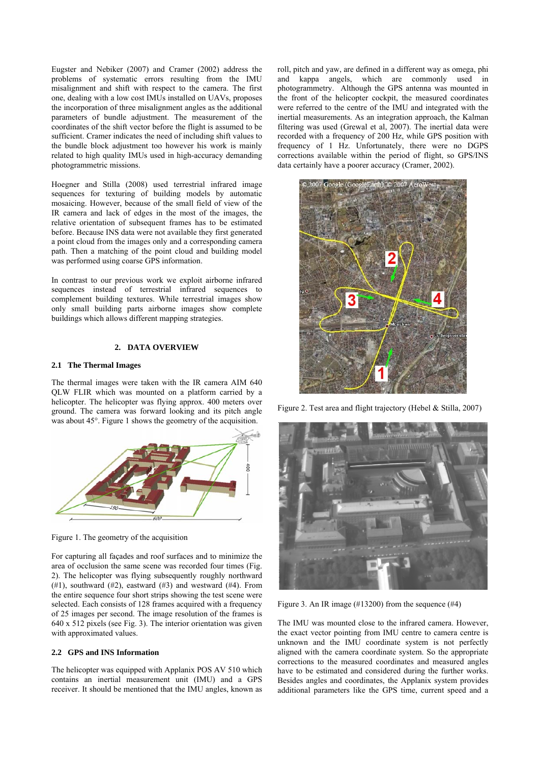Eugster and Nebiker (2007) and Cramer (2002) address the problems of systematic errors resulting from the IMU misalignment and shift with respect to the camera. The first one, dealing with a low cost IMUs installed on UAVs, proposes the incorporation of three misalignment angles as the additional parameters of bundle adjustment. The measurement of the coordinates of the shift vector before the flight is assumed to be sufficient. Cramer indicates the need of including shift values to the bundle block adjustment too however his work is mainly related to high quality IMUs used in high-accuracy demanding photogrammetric missions.

Hoegner and Stilla (2008) used terrestrial infrared image sequences for texturing of building models by automatic mosaicing. However, because of the small field of view of the IR camera and lack of edges in the most of the images, the relative orientation of subsequent frames has to be estimated before. Because INS data were not available they first generated a point cloud from the images only and a corresponding camera path. Then a matching of the point cloud and building model was performed using coarse GPS information.

In contrast to our previous work we exploit airborne infrared sequences instead of terrestrial infrared sequences to complement building textures. While terrestrial images show only small building parts airborne images show complete buildings which allows different mapping strategies.

### **2. DATA OVERVIEW**

#### **2.1 The Thermal Images**

The thermal images were taken with the IR camera AIM 640 QLW FLIR which was mounted on a platform carried by a helicopter. The helicopter was flying approx. 400 meters over ground. The camera was forward looking and its pitch angle was about 45°. Figure 1 shows the geometry of the acquisition.



Figure 1. The geometry of the acquisition

For capturing all façades and roof surfaces and to minimize the area of occlusion the same scene was recorded four times (Fig. 2). The helicopter was flying subsequently roughly northward  $(\#1)$ , southward  $(\#2)$ , eastward  $(\#3)$  and westward  $(\#4)$ . From the entire sequence four short strips showing the test scene were selected. Each consists of 128 frames acquired with a frequency of 25 images per second. The image resolution of the frames is 640 x 512 pixels (see Fig. 3). The interior orientation was given with approximated values.

### **2.2 GPS and INS Information**

The helicopter was equipped with Applanix POS AV 510 which contains an inertial measurement unit (IMU) and a GPS receiver. It should be mentioned that the IMU angles, known as roll, pitch and yaw, are defined in a different way as omega, phi and kappa angels, which are commonly used in photogrammetry. Although the GPS antenna was mounted in the front of the helicopter cockpit, the measured coordinates were referred to the centre of the IMU and integrated with the inertial measurements. As an integration approach, the Kalman filtering was used (Grewal et al, 2007). The inertial data were recorded with a frequency of 200 Hz, while GPS position with frequency of 1 Hz. Unfortunately, there were no DGPS corrections available within the period of flight, so GPS/INS data certainly have a poorer accuracy (Cramer, 2002).



Figure 2. Test area and flight trajectory (Hebel & Stilla, 2007)



Figure 3. An IR image  $(\text{\#13200})$  from the sequence  $(\text{\#4})$ 

The IMU was mounted close to the infrared camera. However, the exact vector pointing from IMU centre to camera centre is unknown and the IMU coordinate system is not perfectly aligned with the camera coordinate system. So the appropriate corrections to the measured coordinates and measured angles have to be estimated and considered during the further works. Besides angles and coordinates, the Applanix system provides additional parameters like the GPS time, current speed and a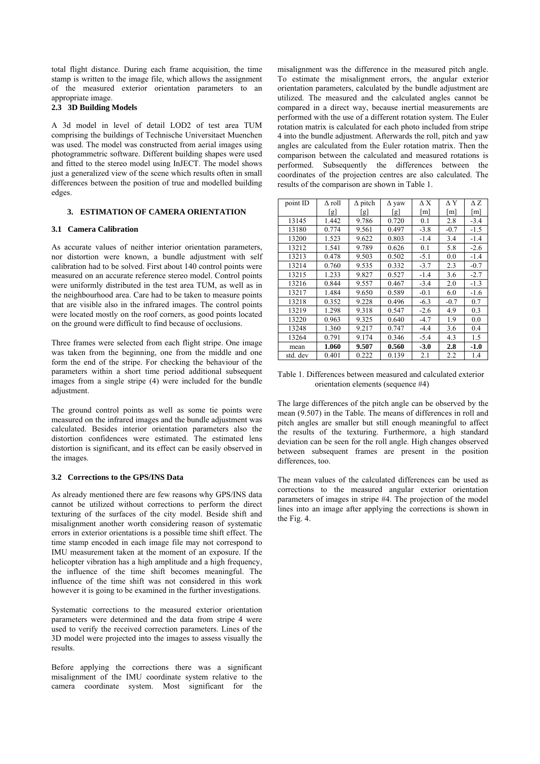total flight distance. During each frame acquisition, the time stamp is written to the image file, which allows the assignment of the measured exterior orientation parameters to an appropriate image.

### **2.3 3D Building Models**

A 3d model in level of detail LOD2 of test area TUM comprising the buildings of Technische Universitaet Muenchen was used. The model was constructed from aerial images using photogrammetric software. Different building shapes were used and fitted to the stereo model using InJECT. The model shows just a generalized view of the scene which results often in small differences between the position of true and modelled building edges.

### **3. ESTIMATION OF CAMERA ORIENTATION**

#### **3.1 Camera Calibration**

As accurate values of neither interior orientation parameters, nor distortion were known, a bundle adjustment with self calibration had to be solved. First about 140 control points were measured on an accurate reference stereo model. Control points were uniformly distributed in the test area TUM, as well as in the neighbourhood area. Care had to be taken to measure points that are visible also in the infrared images. The control points were located mostly on the roof corners, as good points located on the ground were difficult to find because of occlusions.

Three frames were selected from each flight stripe. One image was taken from the beginning, one from the middle and one form the end of the stripe. For checking the behaviour of the parameters within a short time period additional subsequent images from a single stripe (4) were included for the bundle adjustment.

The ground control points as well as some tie points were measured on the infrared images and the bundle adjustment was calculated. Besides interior orientation parameters also the distortion confidences were estimated. The estimated lens distortion is significant, and its effect can be easily observed in the images.

#### **3.2 Corrections to the GPS/INS Data**

As already mentioned there are few reasons why GPS/INS data cannot be utilized without corrections to perform the direct texturing of the surfaces of the city model. Beside shift and misalignment another worth considering reason of systematic errors in exterior orientations is a possible time shift effect. The time stamp encoded in each image file may not correspond to IMU measurement taken at the moment of an exposure. If the helicopter vibration has a high amplitude and a high frequency, the influence of the time shift becomes meaningful. The influence of the time shift was not considered in this work however it is going to be examined in the further investigations.

Systematic corrections to the measured exterior orientation parameters were determined and the data from stripe 4 were used to verify the received correction parameters. Lines of the 3D model were projected into the images to assess visually the results.

Before applying the corrections there was a significant misalignment of the IMU coordinate system relative to the camera coordinate system. Most significant for the misalignment was the difference in the measured pitch angle. To estimate the misalignment errors, the angular exterior orientation parameters, calculated by the bundle adjustment are utilized. The measured and the calculated angles cannot be compared in a direct way, because inertial measurements are performed with the use of a different rotation system. The Euler rotation matrix is calculated for each photo included from stripe 4 into the bundle adjustment. Afterwards the roll, pitch and yaw angles are calculated from the Euler rotation matrix. Then the comparison between the calculated and measured rotations is performed. Subsequently the differences between the coordinates of the projection centres are also calculated. The results of the comparison are shown in Table 1.

| point ID | ∆ roll | $\Delta$ pitch | $\Delta$ yaw | ΛX     | ΛY     | $\Delta Z$ |
|----------|--------|----------------|--------------|--------|--------|------------|
|          | [g]    | l g l          | lgl          | m      | m      | m          |
| 13145    | 1.442  | 9.786          | 0.720        | 0.1    | 2.8    | $-3.4$     |
| 13180    | 0.774  | 9.561          | 0.497        | $-3.8$ | $-0.7$ | $-1.5$     |
| 13200    | 1.523  | 9.622          | 0.803        | $-1.4$ | 3.4    | $-1.4$     |
| 13212    | 1.541  | 9.789          | 0.626        | 0.1    | 5.8    | $-2.6$     |
| 13213    | 0.478  | 9.503          | 0.502        | $-5.1$ | 0.0    | $-1.4$     |
| 13214    | 0.760  | 9.535          | 0.332        | $-3.7$ | 2.3    | $-0.7$     |
| 13215    | 1.233  | 9.827          | 0.527        | $-1.4$ | 3.6    | $-2.7$     |
| 13216    | 0.844  | 9.557          | 0.467        | $-3.4$ | 2.0    | $-1.3$     |
| 13217    | 1.484  | 9.650          | 0.589        | $-0.1$ | 6.0    | $-1.6$     |
| 13218    | 0.352  | 9.228          | 0.496        | $-6.3$ | $-0.7$ | 0.7        |
| 13219    | 1.298  | 9.318          | 0.547        | $-2.6$ | 4.9    | 0.3        |
| 13220    | 0.963  | 9.325          | 0.640        | $-4.7$ | 1.9    | 0.0        |
| 13248    | 1.360  | 9.217          | 0.747        | $-4.4$ | 3.6    | 0.4        |
| 13264    | 0.791  | 9.174          | 0.346        | $-5.4$ | 4.3    | 1.5        |
| mean     | 1.060  | 9.507          | 0.560        | $-3.0$ | 2.8    | $-1.0$     |
| std. dev | 0.401  | 0.222          | 0.139        | 2.1    | 2.2    | 1.4        |

Table 1. Differences between measured and calculated exterior orientation elements (sequence #4)

The large differences of the pitch angle can be observed by the mean (9.507) in the Table. The means of differences in roll and pitch angles are smaller but still enough meaningful to affect the results of the texturing. Furthermore, a high standard deviation can be seen for the roll angle. High changes observed between subsequent frames are present in the position differences, too.

The mean values of the calculated differences can be used as corrections to the measured angular exterior orientation parameters of images in stripe #4. The projection of the model lines into an image after applying the corrections is shown in the Fig. 4.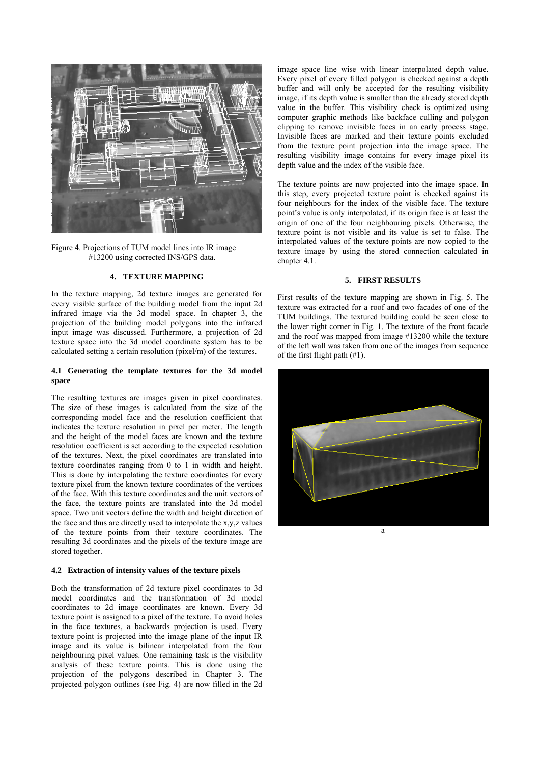

Figure 4. Projections of TUM model lines into IR image #13200 using corrected INS/GPS data.

#### **4. TEXTURE MAPPING**

In the texture mapping, 2d texture images are generated for every visible surface of the building model from the input 2d infrared image via the 3d model space. In chapter 3, the projection of the building model polygons into the infrared input image was discussed. Furthermore, a projection of 2d texture space into the 3d model coordinate system has to be calculated setting a certain resolution (pixel/m) of the textures.

### **4.1 Generating the template textures for the 3d model space**

The resulting textures are images given in pixel coordinates. The size of these images is calculated from the size of the corresponding model face and the resolution coefficient that indicates the texture resolution in pixel per meter. The length and the height of the model faces are known and the texture resolution coefficient is set according to the expected resolution of the textures. Next, the pixel coordinates are translated into texture coordinates ranging from 0 to 1 in width and height. This is done by interpolating the texture coordinates for every texture pixel from the known texture coordinates of the vertices of the face. With this texture coordinates and the unit vectors of the face, the texture points are translated into the 3d model space. Two unit vectors define the width and height direction of the face and thus are directly used to interpolate the x,y,z values of the texture points from their texture coordinates. The resulting 3d coordinates and the pixels of the texture image are stored together.

# **4.2 Extraction of intensity values of the texture pixels**

Both the transformation of 2d texture pixel coordinates to 3d model coordinates and the transformation of 3d model coordinates to 2d image coordinates are known. Every 3d texture point is assigned to a pixel of the texture. To avoid holes in the face textures, a backwards projection is used. Every texture point is projected into the image plane of the input IR image and its value is bilinear interpolated from the four neighbouring pixel values. One remaining task is the visibility analysis of these texture points. This is done using the projection of the polygons described in Chapter 3. The projected polygon outlines (see Fig. 4) are now filled in the 2d image space line wise with linear interpolated depth value. Every pixel of every filled polygon is checked against a depth buffer and will only be accepted for the resulting visibility image, if its depth value is smaller than the already stored depth value in the buffer. This visibility check is optimized using computer graphic methods like backface culling and polygon clipping to remove invisible faces in an early process stage. Invisible faces are marked and their texture points excluded from the texture point projection into the image space. The resulting visibility image contains for every image pixel its depth value and the index of the visible face.

The texture points are now projected into the image space. In this step, every projected texture point is checked against its four neighbours for the index of the visible face. The texture point's value is only interpolated, if its origin face is at least the origin of one of the four neighbouring pixels. Otherwise, the texture point is not visible and its value is set to false. The interpolated values of the texture points are now copied to the texture image by using the stored connection calculated in chapter 4.1.

#### **5. FIRST RESULTS**

First results of the texture mapping are shown in Fig. 5. The texture was extracted for a roof and two facades of one of the TUM buildings. The textured building could be seen close to the lower right corner in Fig. 1. The texture of the front facade and the roof was mapped from image #13200 while the texture of the left wall was taken from one of the images from sequence of the first flight path (#1).

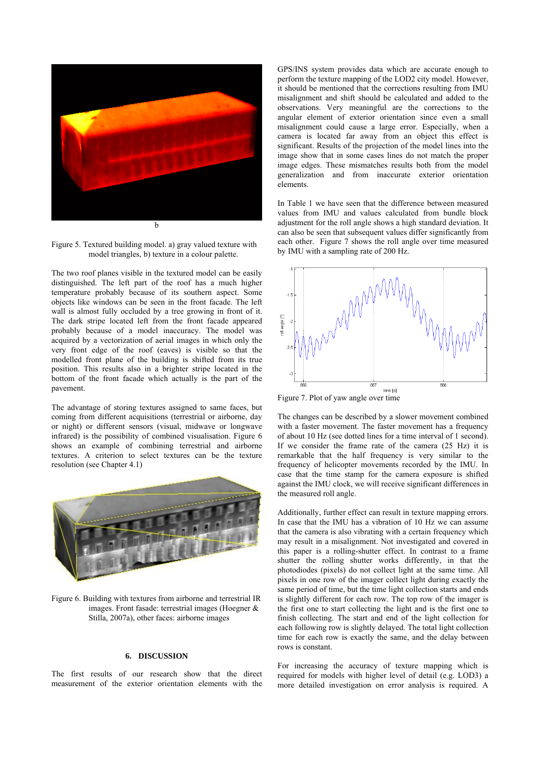

Figure 5. Textured building model. a) gray valued texture with model triangles, b) texture in a colour palette.

The two roof planes visible in the textured model can be easily distinguished. The left part of the roof has a much higher temperature probably because of its southern aspect. Some objects like windows can be seen in the front facade. The left wall is almost fully occluded by a tree growing in front of it. The dark stripe located left from the front facade appeared probably because of a model inaccuracy. The model was acquired by a vectorization of aerial images in which only the very front edge of the roof (eaves) is visible so that the modelled front plane of the building is shifted from its true position. This results also in a brighter stripe located in the bottom of the front facade which actually is the part of the pavement.

The advantage of storing textures assigned to same faces, but coming from different acquisitions (terrestrial or airborne, day or night) or different sensors (visual, midwave or longwave infrared) is the possibility of combined visualisation. Figure 6 shows an example of combining terrestrial and airborne textures. A criterion to select textures can be the texture resolution (see Chapter 4.1)



Figure 6. Building with textures from airborne and terrestrial IR images. Front fasade: terrestrial images (Hoegner & Stilla, 2007a), other faces: airborne images

#### **6. DISCUSSION**

The first results of our research show that the direct measurement of the exterior orientation elements with the GPS/INS system provides data which are accurate enough to perform the texture mapping of the LOD2 city model. However, it should be mentioned that the corrections resulting from IMU misalignment and shift should be calculated and added to the observations. Very meaningful are the corrections to the angular element of exterior orientation since even a small misalignment could cause a large error. Especially, when a camera is located far away from an object this effect is significant. Results of the projection of the model lines into the image show that in some cases lines do not match the proper image edges. These mismatches results both from the model generalization and from inaccurate exterior orientation elements.

In Table 1 we have seen that the difference between measured values from IMU and values calculated from bundle block adjustment for the roll angle shows a high standard deviation. It can also be seen that subsequent values differ significantly from each other. Figure 7 shows the roll angle over time measured by IMU with a sampling rate of 200 Hz.



Figure 7. Plot of yaw angle over time

The changes can be described by a slower movement combined with a faster movement. The faster movement has a frequency of about 10 Hz (see dotted lines for a time interval of 1 second). If we consider the frame rate of the camera (25 Hz) it is remarkable that the half frequency is very similar to the frequency of helicopter movements recorded by the IMU. In case that the time stamp for the camera exposure is shifted against the IMU clock, we will receive significant differences in the measured roll angle.

Additionally, further effect can result in texture mapping errors. In case that the IMU has a vibration of 10 Hz we can assume that the camera is also vibrating with a certain frequency which may result in a misalignment. Not investigated and covered in this paper is a rolling-shutter effect. In contrast to a frame shutter the rolling shutter works differently, in that the photodiodes (pixels) do not collect light at the same time. All pixels in one row of the imager collect light during exactly the same period of time, but the time light collection starts and ends is slightly different for each row. The top row of the imager is the first one to start collecting the light and is the first one to finish collecting. The start and end of the light collection for each following row is slightly delayed. The total light collection time for each row is exactly the same, and the delay between rows is constant.

For increasing the accuracy of texture mapping which is required for models with higher level of detail (e.g. LOD3) a more detailed investigation on error analysis is required. A